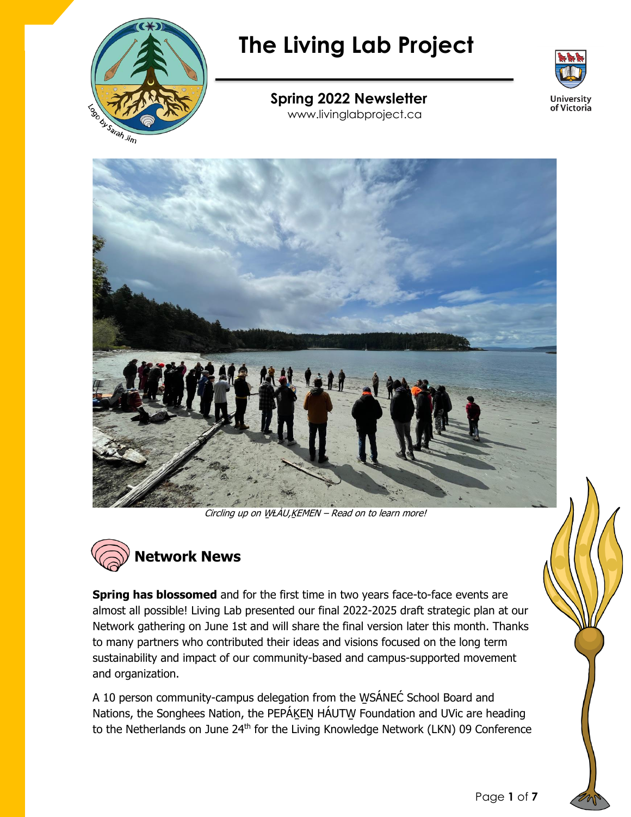

# **The Living Lab Project**



## **Spring 2022 Newsletter**

www.livinglabproject.ca



Circling up on WŁÁU,KEMEN - Read on to learn more!



**Spring has blossomed** and for the first time in two years face-to-face events are almost all possible! Living Lab presented our final 2022-2025 draft strategic plan at our Network gathering on June 1st and will share the final version later this month. Thanks to many partners who contributed their ideas and visions focused on the long term sustainability and impact of our community-based and campus-supported movement and organization.

A 10 person community-campus delegation from the WSÁNEC School Board and Nations, the Songhees Nation, the PEPÁKEN HÁUTW Foundation and UVic are heading to the Netherlands on June 24<sup>th</sup> for the Living Knowledge Network (LKN) 09 Conference

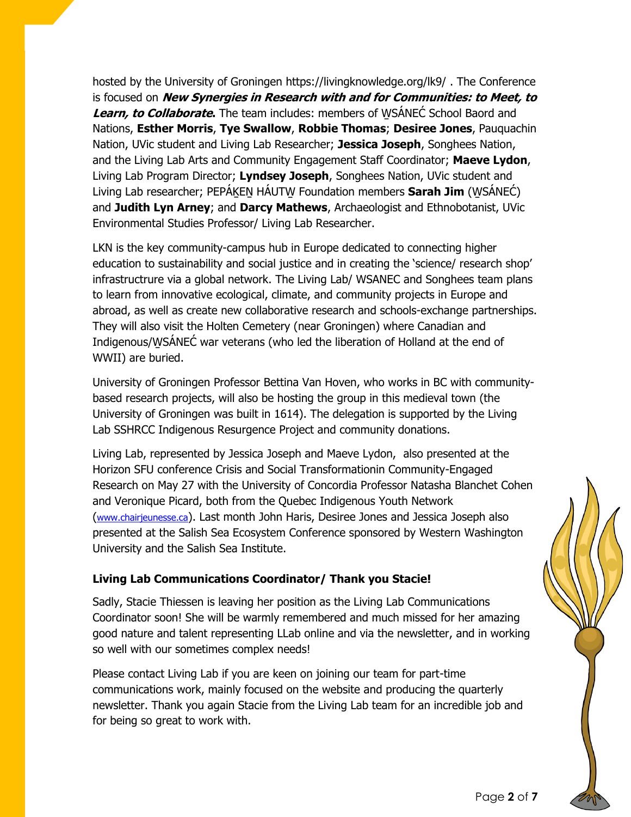hosted by the University of Groningen https://livingknowledge.org/lk9/ . The Conference is focused on **New Synergies in Research with and for Communities: to Meet, to Learn, to Collaborate.** The team includes: members of W̱SÁNEĆ School Baord and Nations, **Esther Morris**, **Tye Swallow**, **Robbie Thomas**; **Desiree Jones**, Pauquachin Nation, UVic student and Living Lab Researcher; **Jessica Joseph**, Songhees Nation, and the Living Lab Arts and Community Engagement Staff Coordinator; **Maeve Lydon**, Living Lab Program Director; **Lyndsey Joseph**, Songhees Nation, UVic student and Living Lab researcher; PEPÁḴEṈ HÁUTW̱ Foundation members **Sarah Jim** (W̱SÁNEĆ) and **Judith Lyn Arney**; and **Darcy Mathews**, Archaeologist and Ethnobotanist, UVic Environmental Studies Professor/ Living Lab Researcher.

LKN is the key community-campus hub in Europe dedicated to connecting higher education to sustainability and social justice and in creating the 'science/ research shop' infrastructrure via a global network. The Living Lab/ WSANEC and Songhees team plans to learn from innovative ecological, climate, and community projects in Europe and abroad, as well as create new collaborative research and schools-exchange partnerships. They will also visit the Holten Cemetery (near Groningen) where Canadian and Indigenous/W̱SÁNEĆ war veterans (who led the liberation of Holland at the end of WWII) are buried.

University of Groningen Professor Bettina Van Hoven, who works in BC with communitybased research projects, will also be hosting the group in this medieval town (the University of Groningen was built in 1614). The delegation is supported by the Living Lab SSHRCC Indigenous Resurgence Project and community donations.

Living Lab, represented by Jessica Joseph and Maeve Lydon, also presented at the Horizon SFU conference Crisis and Social Transformationin Community-Engaged Research on May 27 with the University of Concordia Professor Natasha Blanchet Cohen and Veronique Picard, both from the Quebec Indigenous Youth Network ([www.chairjeunesse.ca](http://www.chairjeunesse.ca/)). Last month John Haris, Desiree Jones and Jessica Joseph also presented at the Salish Sea Ecosystem Conference sponsored by Western Washington University and the Salish Sea Institute.

#### **Living Lab Communications Coordinator/ Thank you Stacie!**

Sadly, Stacie Thiessen is leaving her position as the Living Lab Communications Coordinator soon! She will be warmly remembered and much missed for her amazing good nature and talent representing LLab online and via the newsletter, and in working so well with our sometimes complex needs!

Please contact Living Lab if you are keen on joining our team for part-time communications work, mainly focused on the website and producing the quarterly newsletter. Thank you again Stacie from the Living Lab team for an incredible job and for being so great to work with.

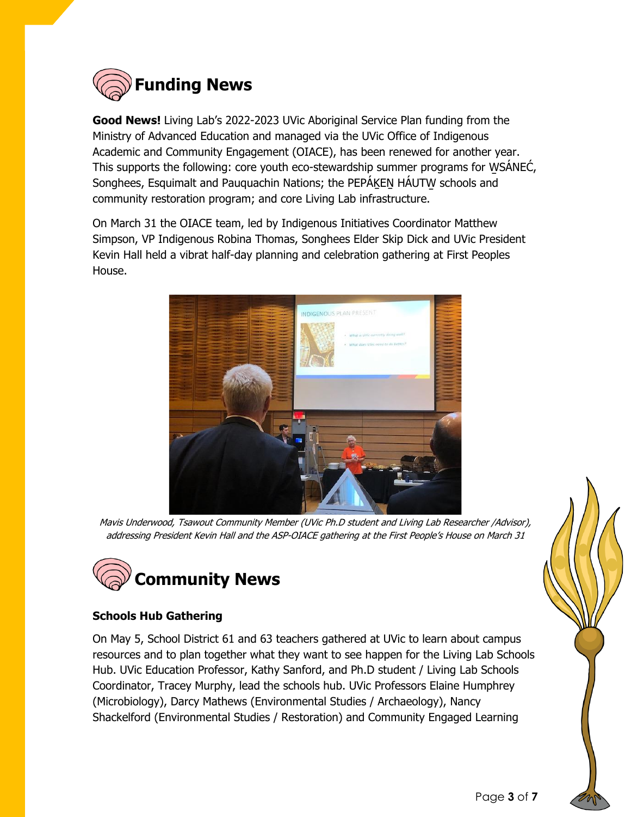

**Good News!** Living Lab's 2022-2023 UVic Aboriginal Service Plan funding from the Ministry of Advanced Education and managed via the UVic Office of Indigenous Academic and Community Engagement (OIACE), has been renewed for another year. This supports the following: core youth eco-stewardship summer programs for W̱SÁNEĆ, Songhees, Esquimalt and Pauguachin Nations; the PEPAKEN HAUTW schools and community restoration program; and core Living Lab infrastructure.

On March 31 the OIACE team, led by Indigenous Initiatives Coordinator Matthew Simpson, VP Indigenous Robina Thomas, Songhees Elder Skip Dick and UVic President Kevin Hall held a vibrat half-day planning and celebration gathering at First Peoples House.



Mavis Underwood, Tsawout Community Member (UVic Ph.D student and Living Lab Researcher /Advisor), addressing President Kevin Hall and the ASP-OIACE gathering at the First People's House on March 31



#### **Schools Hub Gathering**

On May 5, School District 61 and 63 teachers gathered at UVic to learn about campus resources and to plan together what they want to see happen for the Living Lab Schools Hub. UVic Education Professor, Kathy Sanford, and Ph.D student / Living Lab Schools Coordinator, Tracey Murphy, lead the schools hub. UVic Professors Elaine Humphrey (Microbiology), Darcy Mathews (Environmental Studies / Archaeology), Nancy Shackelford (Environmental Studies / Restoration) and Community Engaged Learning

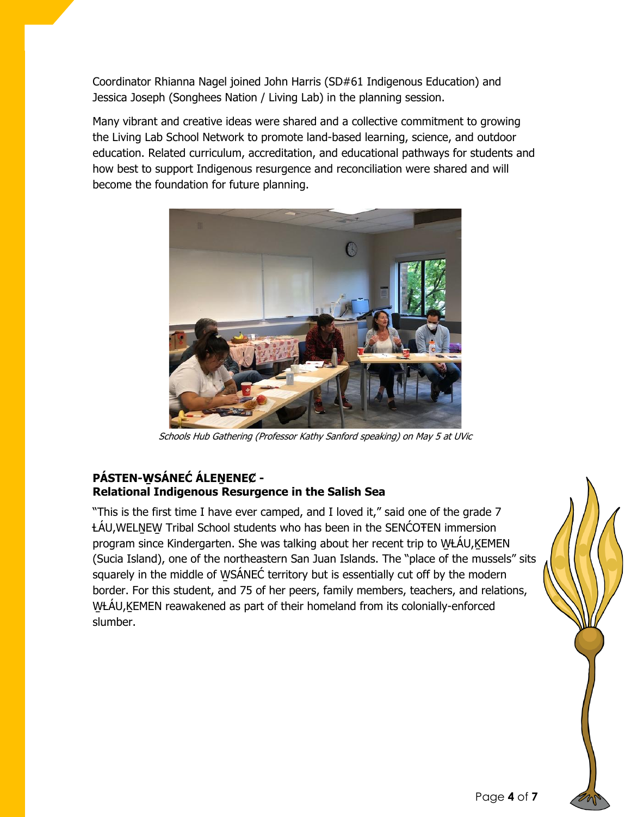Coordinator Rhianna Nagel joined John Harris (SD#61 Indigenous Education) and Jessica Joseph (Songhees Nation / Living Lab) in the planning session.

Many vibrant and creative ideas were shared and a collective commitment to growing the Living Lab School Network to promote land-based learning, science, and outdoor education. Related curriculum, accreditation, and educational pathways for students and how best to support Indigenous resurgence and reconciliation were shared and will become the foundation for future planning.



Schools Hub Gathering (Professor Kathy Sanford speaking) on May 5 at UVic

#### **PÁSTEN-W̱SÁNEĆ ÁLEṈENEȻ - Relational Indigenous Resurgence in the Salish Sea**

"This is the first time I have ever camped, and I loved it," said one of the grade 7 ȽÁU,WELṈEW̱ Tribal School students who has been in the SENĆOŦEN immersion program since Kindergarten. She was talking about her recent trip to WŁÁU, KEMEN (Sucia Island), one of the northeastern San Juan Islands. The "place of the mussels" sits squarely in the middle of WSÁNEĆ territory but is essentially cut off by the modern border. For this student, and 75 of her peers, family members, teachers, and relations, WŁÁU, KEMEN reawakened as part of their homeland from its colonially-enforced slumber.

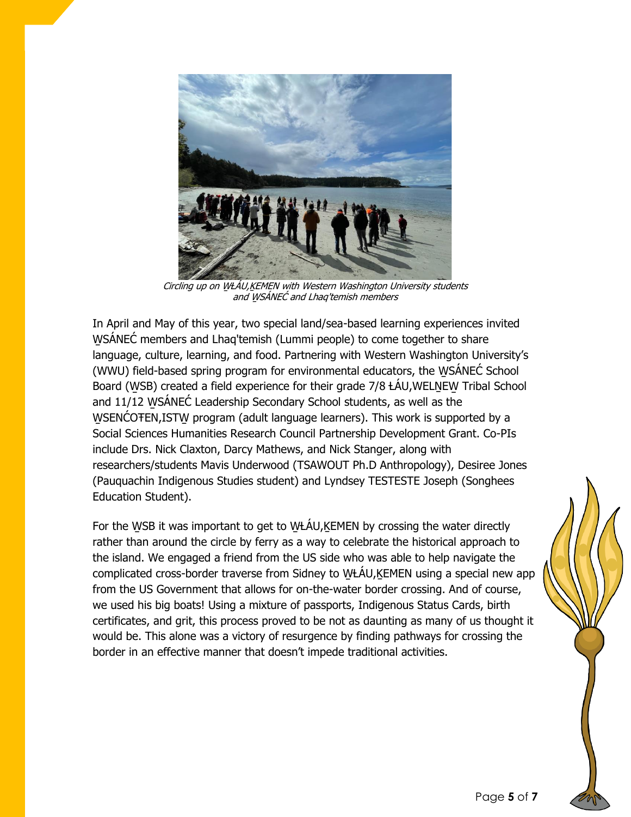

Circling up on WŁÁU, KEMEN with Western Washington University students and W̱SÁNEĆ and Lhaq'temish members

In April and May of this year, two special land/sea-based learning experiences invited WSÁNEĆ members and Lhaq'temish (Lummi people) to come together to share language, culture, learning, and food. Partnering with Western Washington University's (WWU) field-based spring program for environmental educators, the W̱SÁNEĆ School Board (WSB) created a field experience for their grade 7/8 ŁÁU, WELNEW Tribal School and 11/12 W̱SÁNEĆ Leadership Secondary School students, as well as the WSENCOTEN, ISTW program (adult language learners). This work is supported by a Social Sciences Humanities Research Council Partnership Development Grant. Co-PIs include Drs. Nick Claxton, Darcy Mathews, and Nick Stanger, along with researchers/students Mavis Underwood (TSAWOUT Ph.D Anthropology), Desiree Jones (Pauquachin Indigenous Studies student) and Lyndsey TESTESTE Joseph (Songhees Education Student).

For the WSB it was important to get to WŁÁU,KEMEN by crossing the water directly rather than around the circle by ferry as a way to celebrate the historical approach to the island. We engaged a friend from the US side who was able to help navigate the complicated cross-border traverse from Sidney to WŁÁU,KEMEN using a special new app from the US Government that allows for on-the-water border crossing. And of course, we used his big boats! Using a mixture of passports, Indigenous Status Cards, birth certificates, and grit, this process proved to be not as daunting as many of us thought it would be. This alone was a victory of resurgence by finding pathways for crossing the border in an effective manner that doesn't impede traditional activities.

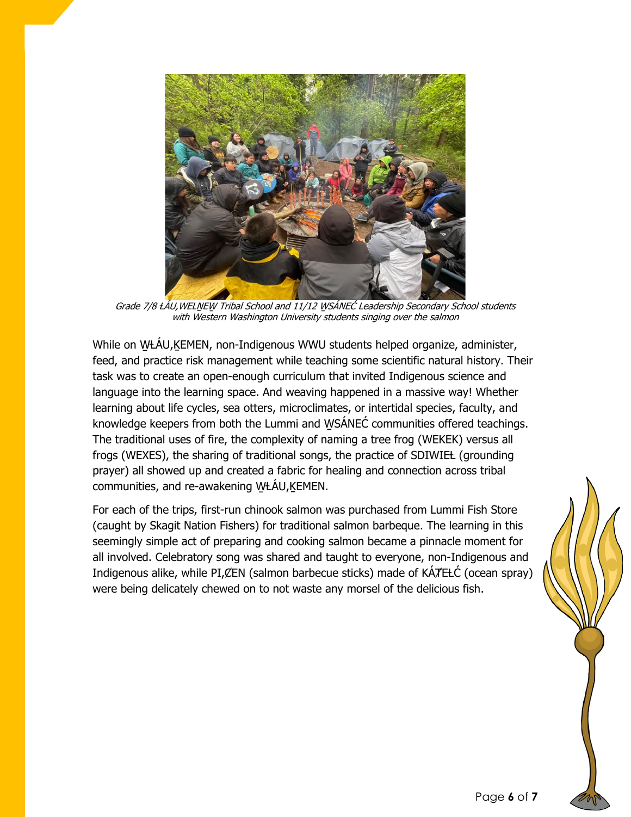

Grade 7/8 ŁÁU, WELNEW Tribal School and 11/12 WSÁNEĆ Leadership Secondary School students with Western Washington University students singing over the salmon

While on WŁÁU, KEMEN, non-Indigenous WWU students helped organize, administer, feed, and practice risk management while teaching some scientific natural history. Their task was to create an open-enough curriculum that invited Indigenous science and language into the learning space. And weaving happened in a massive way! Whether learning about life cycles, sea otters, microclimates, or intertidal species, faculty, and knowledge keepers from both the Lummi and W̱SÁNEĆ communities offered teachings. The traditional uses of fire, the complexity of naming a tree frog (WEKEK) versus all frogs (WEXES), the sharing of traditional songs, the practice of SDIWIEL (grounding prayer) all showed up and created a fabric for healing and connection across tribal communities, and re-awakening WŁÁU,KEMEN.

For each of the trips, first-run chinook salmon was purchased from Lummi Fish Store (caught by Skagit Nation Fishers) for traditional salmon barbeque. The learning in this seemingly simple act of preparing and cooking salmon became a pinnacle moment for all involved. Celebratory song was shared and taught to everyone, non-Indigenous and Indigenous alike, while PI, CEN (salmon barbecue sticks) made of KÁTEŁĆ (ocean spray) were being delicately chewed on to not waste any morsel of the delicious fish.